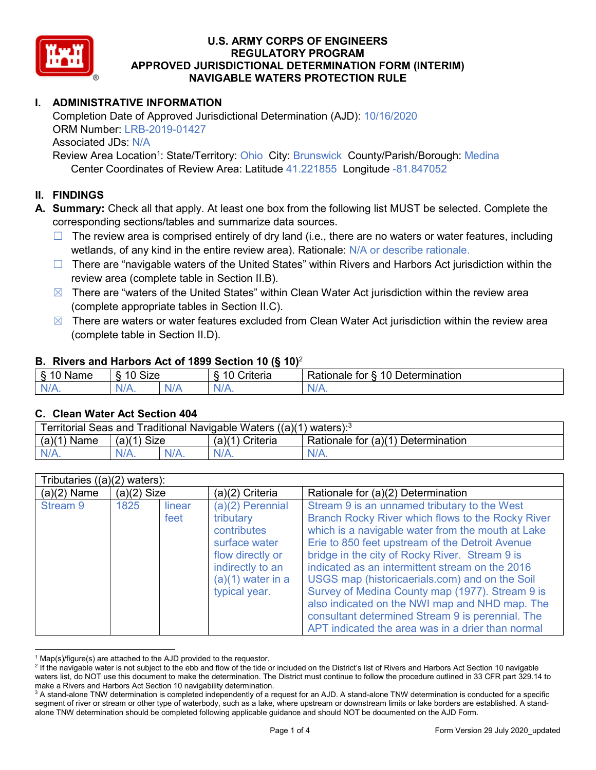

# **I. ADMINISTRATIVE INFORMATION**

Completion Date of Approved Jurisdictional Determination (AJD): 10/16/2020 ORM Number: LRB-2019-01427 Associated JDs: N/A Review Area Location<sup>1</sup>: State/Territory: Ohio City: Brunswick County/Parish/Borough: Medina

Center Coordinates of Review Area: Latitude 41.221855 Longitude -81.847052

# **II. FINDINGS**

**A. Summary:** Check all that apply. At least one box from the following list MUST be selected. Complete the corresponding sections/tables and summarize data sources.

- $\Box$  The review area is comprised entirely of dry land (i.e., there are no waters or water features, including wetlands, of any kind in the entire review area). Rationale: N/A or describe rationale.
- $\Box$  There are "navigable waters of the United States" within Rivers and Harbors Act jurisdiction within the review area (complete table in Section II.B).
- $\boxtimes$  There are "waters of the United States" within Clean Water Act jurisdiction within the review area (complete appropriate tables in Section II.C).
- $\boxtimes$  There are waters or water features excluded from Clean Water Act jurisdiction within the review area (complete table in Section II.D).

### **B. Rivers and Harbors Act of 1899 Section 10 (§ 10)**<sup>2</sup>

| . .                       |                      |        |                                                      |                                                 |  |  |  |  |
|---------------------------|----------------------|--------|------------------------------------------------------|-------------------------------------------------|--|--|--|--|
| $\sim$<br>$-$<br>ame<br>◡ | 10<br>$\sim$<br>SIZE |        | .<br>10<br>$"$ rıt $\sim$ rı $\sim$<br><b>AILCIT</b> | Determination<br>$\sqrt{ }$<br>Rationale<br>tor |  |  |  |  |
| $N/A$ .                   | 1M/<br>97 / TV .     | w<br>. | $N/A$ .                                              | $N_{\ell}$<br>$\mathbf{v}$                      |  |  |  |  |

### **C. Clean Water Act Section 404**

| Territorial Seas and Traditional Navigable Waters ((a)(1) waters): $3$ |                |  |                       |                                    |  |  |  |
|------------------------------------------------------------------------|----------------|--|-----------------------|------------------------------------|--|--|--|
| (a)(1)<br>Name                                                         | (a)(1)<br>Size |  | (a)(1)<br>`) Criteria | Rationale for (a)(1) Determination |  |  |  |
|                                                                        | $N/A$ .        |  | $N/A$ .               | $N/A$ .                            |  |  |  |

|               | Tributaries $((a)(2)$ waters): |                |                                                                                                                                                 |                                                                                                                                                                                                                                                                                                                                                                                                                                                                                                                                                                                |  |  |  |  |  |
|---------------|--------------------------------|----------------|-------------------------------------------------------------------------------------------------------------------------------------------------|--------------------------------------------------------------------------------------------------------------------------------------------------------------------------------------------------------------------------------------------------------------------------------------------------------------------------------------------------------------------------------------------------------------------------------------------------------------------------------------------------------------------------------------------------------------------------------|--|--|--|--|--|
| $(a)(2)$ Name | $(a)(2)$ Size                  |                | (a)(2) Criteria                                                                                                                                 | Rationale for (a)(2) Determination                                                                                                                                                                                                                                                                                                                                                                                                                                                                                                                                             |  |  |  |  |  |
| Stream 9      | 1825                           | linear<br>feet | $(a)(2)$ Perennial<br>tributary<br>contributes<br>surface water<br>flow directly or<br>indirectly to an<br>$(a)(1)$ water in a<br>typical year. | Stream 9 is an unnamed tributary to the West<br>Branch Rocky River which flows to the Rocky River<br>which is a navigable water from the mouth at Lake<br>Erie to 850 feet upstream of the Detroit Avenue<br>bridge in the city of Rocky River. Stream 9 is<br>indicated as an intermittent stream on the 2016<br>USGS map (historicaerials.com) and on the Soil<br>Survey of Medina County map (1977). Stream 9 is<br>also indicated on the NWI map and NHD map. The<br>consultant determined Stream 9 is perennial. The<br>APT indicated the area was in a drier than normal |  |  |  |  |  |

 $1$  Map(s)/figure(s) are attached to the AJD provided to the requestor.

<sup>&</sup>lt;sup>2</sup> If the navigable water is not subject to the ebb and flow of the tide or included on the District's list of Rivers and Harbors Act Section 10 navigable waters list, do NOT use this document to make the determination. The District must continue to follow the procedure outlined in 33 CFR part 329.14 to make a Rivers and Harbors Act Section 10 navigability determination.

<sup>&</sup>lt;sup>3</sup> A stand-alone TNW determination is completed independently of a request for an AJD. A stand-alone TNW determination is conducted for a specific segment of river or stream or other type of waterbody, such as a lake, where upstream or downstream limits or lake borders are established. A standalone TNW determination should be completed following applicable guidance and should NOT be documented on the AJD Form.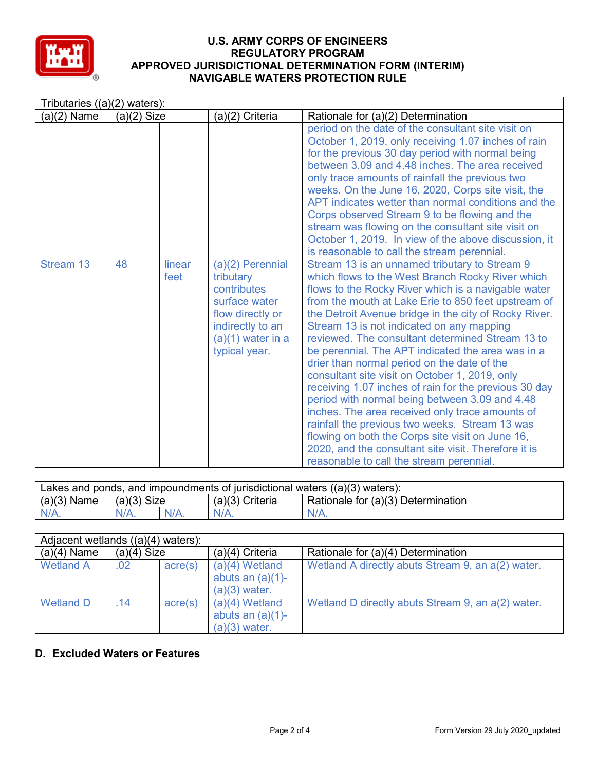

| Tributaries $((a)(2)$ waters): |               |                |                                                                                                                                               |                                                                                                                                                                                                                                                                                                                                                                                                                                                                                                                                                                                                                                                                                                                                                                                                                                                                                                         |  |  |  |
|--------------------------------|---------------|----------------|-----------------------------------------------------------------------------------------------------------------------------------------------|---------------------------------------------------------------------------------------------------------------------------------------------------------------------------------------------------------------------------------------------------------------------------------------------------------------------------------------------------------------------------------------------------------------------------------------------------------------------------------------------------------------------------------------------------------------------------------------------------------------------------------------------------------------------------------------------------------------------------------------------------------------------------------------------------------------------------------------------------------------------------------------------------------|--|--|--|
| $(a)(2)$ Name                  | $(a)(2)$ Size |                | (a)(2) Criteria                                                                                                                               | Rationale for (a)(2) Determination                                                                                                                                                                                                                                                                                                                                                                                                                                                                                                                                                                                                                                                                                                                                                                                                                                                                      |  |  |  |
|                                |               |                |                                                                                                                                               | period on the date of the consultant site visit on<br>October 1, 2019, only receiving 1.07 inches of rain<br>for the previous 30 day period with normal being<br>between 3.09 and 4.48 inches. The area received<br>only trace amounts of rainfall the previous two<br>weeks. On the June 16, 2020, Corps site visit, the<br>APT indicates wetter than normal conditions and the<br>Corps observed Stream 9 to be flowing and the<br>stream was flowing on the consultant site visit on<br>October 1, 2019. In view of the above discussion, it<br>is reasonable to call the stream perennial.                                                                                                                                                                                                                                                                                                          |  |  |  |
| Stream 13                      | 48            | linear<br>feet | (a)(2) Perennial<br>tributary<br>contributes<br>surface water<br>flow directly or<br>indirectly to an<br>$(a)(1)$ water in a<br>typical year. | Stream 13 is an unnamed tributary to Stream 9<br>which flows to the West Branch Rocky River which<br>flows to the Rocky River which is a navigable water<br>from the mouth at Lake Erie to 850 feet upstream of<br>the Detroit Avenue bridge in the city of Rocky River.<br>Stream 13 is not indicated on any mapping<br>reviewed. The consultant determined Stream 13 to<br>be perennial. The APT indicated the area was in a<br>drier than normal period on the date of the<br>consultant site visit on October 1, 2019, only<br>receiving 1.07 inches of rain for the previous 30 day<br>period with normal being between 3.09 and 4.48<br>inches. The area received only trace amounts of<br>rainfall the previous two weeks. Stream 13 was<br>flowing on both the Corps site visit on June 16,<br>2020, and the consultant site visit. Therefore it is<br>reasonable to call the stream perennial. |  |  |  |

| Lakes and ponds, and impoundments of jurisdictional waters $((a)(3)$ waters): |               |  |                   |                                    |  |  |
|-------------------------------------------------------------------------------|---------------|--|-------------------|------------------------------------|--|--|
| $(a)(3)$ Name                                                                 | $(a)(3)$ Size |  | $(a)(3)$ Criteria | Rationale for (a)(3) Determination |  |  |
| N/A.                                                                          | $N/A$ .       |  | $N/A$ .           | $N/A$ .                            |  |  |

| Adjacent wetlands $((a)(4)$ waters): |               |                  |                                                            |                                                   |  |  |  |
|--------------------------------------|---------------|------------------|------------------------------------------------------------|---------------------------------------------------|--|--|--|
| $(a)(4)$ Name                        | $(a)(4)$ Size |                  | $(a)(4)$ Criteria                                          | Rationale for (a)(4) Determination                |  |  |  |
| <b>Wetland A</b>                     | .02           | $\text{acre}(s)$ | $(a)(4)$ Wetland<br>abuts an $(a)(1)$ -<br>$(a)(3)$ water. | Wetland A directly abuts Stream 9, an a(2) water. |  |  |  |
| <b>Wetland D</b>                     | .14           | $\text{acre}(s)$ | $(a)(4)$ Wetland<br>abuts an $(a)(1)$ -<br>$(a)(3)$ water. | Wetland D directly abuts Stream 9, an a(2) water. |  |  |  |

# **D. Excluded Waters or Features**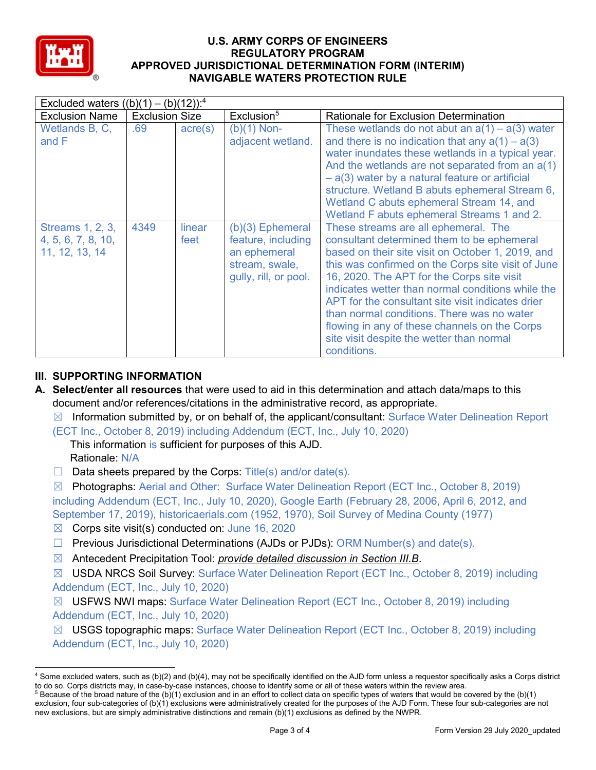

| Excluded waters $((b)(1) - (b)(12))$ : <sup>4</sup>             |                       |                  |                                                                                                     |                                                                                                                                                                                                                                                                                                                                                                                                                                                                                                                  |  |  |  |
|-----------------------------------------------------------------|-----------------------|------------------|-----------------------------------------------------------------------------------------------------|------------------------------------------------------------------------------------------------------------------------------------------------------------------------------------------------------------------------------------------------------------------------------------------------------------------------------------------------------------------------------------------------------------------------------------------------------------------------------------------------------------------|--|--|--|
| <b>Exclusion Name</b>                                           | <b>Exclusion Size</b> |                  | Exclusion <sup>5</sup>                                                                              | <b>Rationale for Exclusion Determination</b>                                                                                                                                                                                                                                                                                                                                                                                                                                                                     |  |  |  |
| Wetlands B, C,<br>and F                                         | .69                   | $\text{acre}(s)$ | $(b)(1)$ Non-<br>adjacent wetland.                                                                  | These wetlands do not abut an $a(1) - a(3)$ water<br>and there is no indication that any $a(1) - a(3)$<br>water inundates these wetlands in a typical year.<br>And the wetlands are not separated from an $a(1)$<br>$-$ a(3) water by a natural feature or artificial<br>structure. Wetland B abuts ephemeral Stream 6,<br>Wetland C abuts ephemeral Stream 14, and<br>Wetland F abuts ephemeral Streams 1 and 2.                                                                                                |  |  |  |
| <b>Streams 1, 2, 3,</b><br>4, 5, 6, 7, 8, 10,<br>11, 12, 13, 14 | 4349                  | linear<br>feet   | $(b)(3)$ Ephemeral<br>feature, including<br>an ephemeral<br>stream, swale,<br>gully, rill, or pool. | These streams are all ephemeral. The<br>consultant determined them to be ephemeral<br>based on their site visit on October 1, 2019, and<br>this was confirmed on the Corps site visit of June<br>16, 2020. The APT for the Corps site visit<br>indicates wetter than normal conditions while the<br>APT for the consultant site visit indicates drier<br>than normal conditions. There was no water<br>flowing in any of these channels on the Corps<br>site visit despite the wetter than normal<br>conditions. |  |  |  |

# **III. SUPPORTING INFORMATION**

- **A. Select/enter all resources** that were used to aid in this determination and attach data/maps to this document and/or references/citations in the administrative record, as appropriate.
	- $\boxtimes$  Information submitted by, or on behalf of, the applicant/consultant: Surface Water Delineation Report
	- (ECT Inc., October 8, 2019) including Addendum (ECT, Inc., July 10, 2020)
		- This information is sufficient for purposes of this AJD.
			- Rationale: N/A
	- $\Box$  Data sheets prepared by the Corps: Title(s) and/or date(s).

☒ Photographs: Aerial and Other: Surface Water Delineation Report (ECT Inc., October 8, 2019) including Addendum (ECT, Inc., July 10, 2020), Google Earth (February 28, 2006, April 6, 2012, and September 17, 2019), historicaerials.com (1952, 1970), Soil Survey of Medina County (1977)

- $\boxtimes$  Corps site visit(s) conducted on: June 16, 2020
- $\Box$  Previous Jurisdictional Determinations (AJDs or PJDs): ORM Number(s) and date(s).
- ☒ Antecedent Precipitation Tool: *provide detailed discussion in Section III.B*.

☒ USDA NRCS Soil Survey: Surface Water Delineation Report (ECT Inc., October 8, 2019) including Addendum (ECT, Inc., July 10, 2020)

☒ USFWS NWI maps: Surface Water Delineation Report (ECT Inc., October 8, 2019) including Addendum (ECT, Inc., July 10, 2020)

☒ USGS topographic maps: Surface Water Delineation Report (ECT Inc., October 8, 2019) including Addendum (ECT, Inc., July 10, 2020)

 <sup>4</sup> Some excluded waters, such as (b)(2) and (b)(4), may not be specifically identified on the AJD form unless a requestor specifically asks a Corps district to do so. Corps districts may, in case-by-case instances, choose to identify some or all of these waters within the review area.  $5$  Because of the broad nature of the (b)(1) exclusion and in an effort to collect data on specific types of waters that would be covered by the (b)(1)

exclusion, four sub-categories of (b)(1) exclusions were administratively created for the purposes of the AJD Form. These four sub-categories are not new exclusions, but are simply administrative distinctions and remain (b)(1) exclusions as defined by the NWPR.